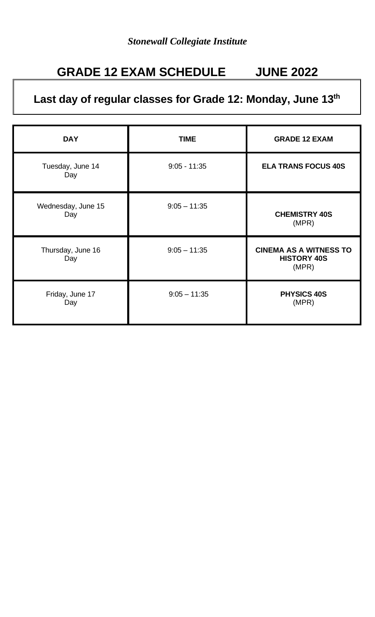# **GRADE 12 EXAM SCHEDULE JUNE 2022**

### Last day of regular classes for Grade 12: Monday, June 13<sup>th</sup>

| <b>DAY</b>                | <b>TIME</b>    | <b>GRADE 12 EXAM</b>                                         |  |  |
|---------------------------|----------------|--------------------------------------------------------------|--|--|
| Tuesday, June 14<br>Day   | $9:05 - 11:35$ | <b>ELA TRANS FOCUS 40S</b>                                   |  |  |
| Wednesday, June 15<br>Day | $9:05 - 11:35$ | <b>CHEMISTRY 40S</b><br>(MPR)                                |  |  |
| Thursday, June 16<br>Day  | $9:05 - 11:35$ | <b>CINEMA AS A WITNESS TO</b><br><b>HISTORY 40S</b><br>(MPR) |  |  |
| Friday, June 17<br>Day    | $9:05 - 11:35$ | <b>PHYSICS 40S</b><br>(MPR)                                  |  |  |